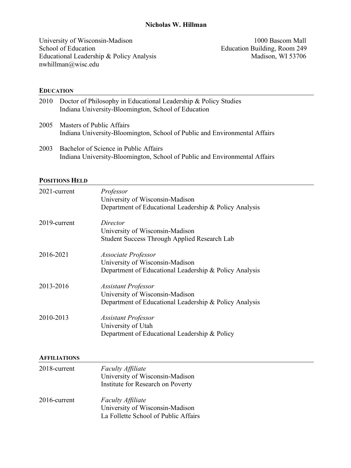### **Nicholas W. Hillman**

University of Wisconsin-Madison<br>
School of Education<br>
1000 Bascom Mall<br>
1000 Bascom Mall<br>
1000 Bascom Mall<br>
1000 Bascom Mall Educational Leadership  $&$  Policy Analysis nwhillman@wisc.edu

Education Building, Room 249<br>Madison, WI 53706

#### **EDUCATION**

| 2010 | Doctor of Philosophy in Educational Leadership & Policy Studies<br>Indiana University-Bloomington, School of Education |
|------|------------------------------------------------------------------------------------------------------------------------|
| 2005 | Masters of Public Affairs<br>Indiana University-Bloomington, School of Public and Environmental Affairs                |
|      |                                                                                                                        |

2003 Bachelor of Science in Public Affairs Indiana University-Bloomington, School of Public and Environmental Affairs

#### **POSITIONS HELD**

| 2021-current | Professor<br>University of Wisconsin-Madison<br>Department of Educational Leadership & Policy Analysis                  |
|--------------|-------------------------------------------------------------------------------------------------------------------------|
| 2019-current | Director<br>University of Wisconsin-Madison<br>Student Success Through Applied Research Lab                             |
| 2016-2021    | Associate Professor<br>University of Wisconsin-Madison<br>Department of Educational Leadership & Policy Analysis        |
| 2013-2016    | <b>Assistant Professor</b><br>University of Wisconsin-Madison<br>Department of Educational Leadership & Policy Analysis |
| 2010-2013    | <b>Assistant Professor</b><br>University of Utah<br>Department of Educational Leadership & Policy                       |

#### **AFFILIATIONS**

| 2018-current    | <b>Faculty Affiliate</b><br>University of Wisconsin-Madison<br>Institute for Research on Poverty    |
|-----------------|-----------------------------------------------------------------------------------------------------|
| $2016$ -current | <b>Faculty Affiliate</b><br>University of Wisconsin-Madison<br>La Follette School of Public Affairs |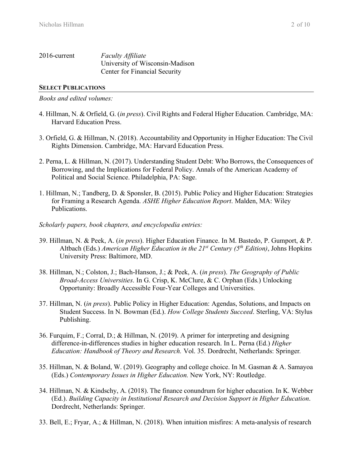| 2016-current | <b>Faculty Affiliate</b>        |
|--------------|---------------------------------|
|              | University of Wisconsin-Madison |
|              | Center for Financial Security   |

## **SELECT PUBLICATIONS**

*Books and edited volumes:* 

- 4. Hillman, N. & Orfield, G. (*in press*). Civil Rights and Federal Higher Education. Cambridge, MA: Harvard Education Press.
- 3. Orfield, G. & Hillman, N. (2018). Accountability and Opportunity in Higher Education: The Civil Rights Dimension. Cambridge, MA: Harvard Education Press.
- 2. Perna, L. & Hillman, N. (2017). Understanding Student Debt: Who Borrows, the Consequences of Borrowing, and the Implications for Federal Policy. Annals of the American Academy of Political and Social Science. Philadelphia, PA: Sage.
- 1. Hillman, N.; Tandberg, D. & Sponsler, B. (2015). Public Policy and Higher Education: Strategies for Framing a Research Agenda. *ASHE Higher Education Report*. Malden, MA: Wiley Publications.
- *Scholarly papers, book chapters, and encyclopedia entries:*
- 39. Hillman, N. & Peek, A. (*in press*). Higher Education Finance. In M. Bastedo, P. Gumport, & P. Altbach (Eds.) *American Higher Education in the 21st Century (5th Edition)*, Johns Hopkins University Press: Baltimore, MD.
- 38. Hillman, N.; Colston, J.; Bach-Hanson, J.; & Peek, A. (*in press*). *The Geography of Public Broad-Access Universities*. In G. Crisp, K. McClure, & C. Orphan (Eds.) Unlocking Opportunity: Broadly Accessible Four-Year Colleges and Universities.
- 37. Hillman, N. (*in press*). Public Policy in Higher Education: Agendas, Solutions, and Impacts on Student Success. In N. Bowman (Ed.). *How College Students Succeed*. Sterling, VA: Stylus Publishing.
- 36. Furquim, F.; Corral, D.; & Hillman, N. (2019). A primer for interpreting and designing difference-in-differences studies in higher education research. In L. Perna (Ed.) *Higher Education: Handbook of Theory and Research.* Vol. 35. Dordrecht, Netherlands: Springer*.*
- 35. Hillman, N. & Boland, W. (2019). Geography and college choice. In M. Gasman & A. Samayoa (Eds.) *Contemporary Issues in Higher Education.* New York, NY: Routledge.
- 34. Hillman, N. & Kindschy, A. (2018). The finance conundrum for higher education. In K. Webber (Ed.). *Building Capacity in Institutional Research and Decision Support in Higher Education*. Dordrecht, Netherlands: Springer.
- 33. Bell, E.; Fryar, A.; & Hillman, N. (2018). When intuition misfires: A meta-analysis of research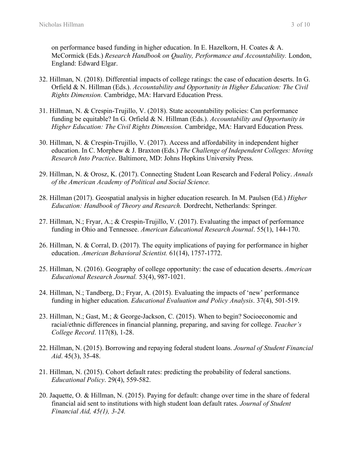on performance based funding in higher education. In E. Hazelkorn, H. Coates & A. McCormick (Eds.) *Research Handbook on Quality, Performance and Accountability.* London, England: Edward Elgar.

- 32. Hillman, N. (2018). Differential impacts of college ratings: the case of education deserts. In G. Orfield & N. Hillman (Eds.). *Accountability and Opportunity in Higher Education: The Civil Rights Dimension.* Cambridge, MA: Harvard Education Press.
- 31. Hillman, N. & Crespin-Trujillo, V. (2018). State accountability policies: Can performance funding be equitable? In G. Orfield & N. Hillman (Eds.). *Accountability and Opportunity in Higher Education: The Civil Rights Dimension.* Cambridge, MA: Harvard Education Press.
- 30. Hillman, N. & Crespin-Trujillo, V. (2017). Access and affordability in independent higher education. In C. Morphew & J. Braxton (Eds.) *The Challenge of Independent Colleges: Moving Research Into Practice*. Baltimore, MD: Johns Hopkins University Press.
- 29. Hillman, N. & Orosz, K. (2017). Connecting Student Loan Research and Federal Policy. *Annals of the American Academy of Political and Social Science.*
- 28. Hillman (2017). Geospatial analysis in higher education research. In M. Paulsen (Ed.) *Higher Education: Handbook of Theory and Research.* Dordrecht, Netherlands: Springer*.*
- 27. Hillman, N.; Fryar, A.; & Crespin-Trujillo, V. (2017). Evaluating the impact of performance funding in Ohio and Tennessee. *American Educational Research Journal*. 55(1), 144-170.
- 26. Hillman, N. & Corral, D. (2017). The equity implications of paying for performance in higher education. *American Behavioral Scientist.* 61(14), 1757-1772.
- 25. Hillman, N. (2016). Geography of college opportunity: the case of education deserts. *American Educational Research Journal.* 53(4), 987-1021.
- 24. Hillman, N.; Tandberg, D.; Fryar, A. (2015). Evaluating the impacts of 'new' performance funding in higher education. *Educational Evaluation and Policy Analysis*. 37(4), 501-519.
- 23. Hillman, N.; Gast, M.; & George-Jackson, C. (2015). When to begin? Socioeconomic and racial/ethnic differences in financial planning, preparing, and saving for college. *Teacher's College Record*. 117(8), 1-28.
- 22. Hillman, N. (2015). Borrowing and repaying federal student loans. *Journal of Student Financial Aid*. 45(3), 35-48.
- 21. Hillman, N. (2015). Cohort default rates: predicting the probability of federal sanctions. *Educational Policy*. 29(4), 559-582.
- 20. Jaquette, O. & Hillman, N. (2015). Paying for default: change over time in the share of federal financial aid sent to institutions with high student loan default rates. *Journal of Student Financial Aid, 45(1), 3-24.*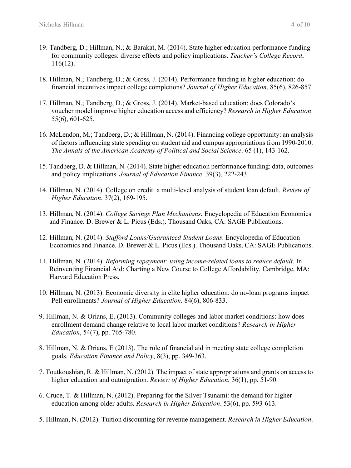- 19. Tandberg, D.; Hillman, N.; & Barakat, M. (2014). State higher education performance funding for community colleges: diverse effects and policy implications. *Teacher's College Record*, 116(12).
- 18. Hillman, N.; Tandberg, D.; & Gross, J. (2014). Performance funding in higher education: do financial incentives impact college completions? *Journal of Higher Education*, 85(6), 826-857.
- 17. Hillman, N.; Tandberg, D.; & Gross, J. (2014). Market-based education: does Colorado's voucher model improve higher education access and efficiency? *Research in Higher Education*. 55(6), 601-625.
- 16. McLendon, M.; Tandberg, D.; & Hillman, N. (2014). Financing college opportunity: an analysis of factors influencing state spending on student aid and campus appropriations from 1990-2010. *The Annals of the American Academy of Political and Social Science*. 65 (1), 143-162.
- 15. Tandberg, D. & Hillman, N. (2014). State higher education performance funding: data, outcomes and policy implications. *Journal of Education Finance*. 39(3), 222-243.
- 14. Hillman, N. (2014). College on credit: a multi-level analysis of student loan default. *Review of Higher Education*. 37(2), 169-195.
- 13. Hillman, N. (2014). *College Savings Plan Mechanisms*. Encyclopedia of Education Economics and Finance. D. Brewer & L. Picus (Eds.). Thousand Oaks, CA: SAGE Publications.
- 12. Hillman, N. (2014). *Stafford Loans/Guaranteed Student Loans*. Encyclopedia of Education Economics and Finance. D. Brewer & L. Picus (Eds.). Thousand Oaks, CA: SAGE Publications.
- 11. Hillman, N. (2014). *Reforming repayment: using income-related loans to reduce default*. In Reinventing Financial Aid: Charting a New Course to College Affordability*.* Cambridge, MA: Harvard Education Press.
- 10. Hillman, N. (2013). Economic diversity in elite higher education: do no-loan programs impact Pell enrollments? *Journal of Higher Education*. 84(6), 806-833.
- 9. Hillman, N. & Orians, E. (2013). Community colleges and labor market conditions: how does enrollment demand change relative to local labor market conditions? *Research in Higher Education*, 54(7), pp. 765-780.
- 8. Hillman, N. & Orians, E (2013). The role of financial aid in meeting state college completion goals. *Education Finance and Policy*, 8(3), pp. 349-363.
- 7. Toutkoushian, R. & Hillman, N. (2012). The impact of state appropriations and grants on access to higher education and outmigration. *Review of Higher Education*, 36(1), pp. 51-90.
- 6. Cruce, T. & Hillman, N. (2012). Preparing for the Silver Tsunami: the demand for higher education among older adults. *Research in Higher Education*. 53(6), pp. 593-613.
- 5. Hillman, N. (2012). Tuition discounting for revenue management. *Research in Higher Education*.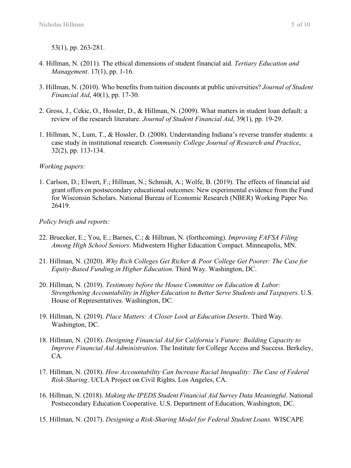53(1), pp. 263-281.

- 4. Hillman, N. (2011). The ethical dimensions of student financial aid. *Tertiary Education and Management*. 17(1), pp. 1-16.
- 3. Hillman, N. (2010). Who benefits from tuition discounts at public universities? *Journal of Student Financial Aid*, 40(1), pp. 17-30.
- 2. Gross, J., Cekic, O., Hossler, D., & Hillman, N. (2009). What matters in student loan default: a review of the research literature. *Journal of Student Financial Aid*, 39(1), pp. 19-29.
- 1. Hillman, N., Lum, T., & Hossler, D. (2008). Understanding Indiana's reverse transfer students: a case study in institutional research. *Community College Journal of Research and Practice*, 32(2), pp. 113-134.

### *Working papers:*

1. Carlson, D.; Elwert, F.; Hillman, N.; Schmidt, A.; Wolfe, B. (2019). The effects of financial aid grant offers on postsecondary educational outcomes: New experimental evidence from the Fund for Wisconsin Scholars. National Bureau of Economic Research (NBER) Working Paper No. 26419.

### *Policy briefs and reports:*

- 22. Bruecker, E.; You, E.; Barnes, C.; & Hillman, N. (forthcoming). *Improving FAFSA Filing Among High School Seniors*. Midwestern Higher Education Compact. Minneapolis, MN.
- 21. Hillman, N. (2020). *Why Rich Colleges Get Richer & Poor College Get Poorer: The Case for Equity-Based Funding in Higher Education*. Third Way. Washington, DC.
- 20. Hillman, N. (2019). *Testimony before the House Committee on Education & Labor: Strengthening Accountability in Higher Education to Better Serve Students and Taxpayers*. U.S. House of Representatives. Washington, DC.
- 19. Hillman, N. (2019). *Place Matters: A Closer Look at Education Deserts*. Third Way. Washington, DC.
- 18. Hillman, N. (2018). *Designing Financial Aid for California's Future: Building Capacity to Improve Financial Aid Administration*. The Institute for College Access and Success. Berkeley, CA.
- 17. Hillman, N. (2018). *How Accountability Can Increase Racial Inequality: The Case of Federal Risk-Sharing*. UCLA Project on Civil Rights. Los Angeles, CA.
- 16. Hillman, N. (2018). *Making the IPEDS Student Financial Aid Survey Data Meaningful*. National Postsecondary Education Cooperative. U.S. Department of Education, Washington, DC.
- 15. Hillman, N. (2017). *Designing a Risk-Sharing Model for Federal Student Loans.* WISCAPE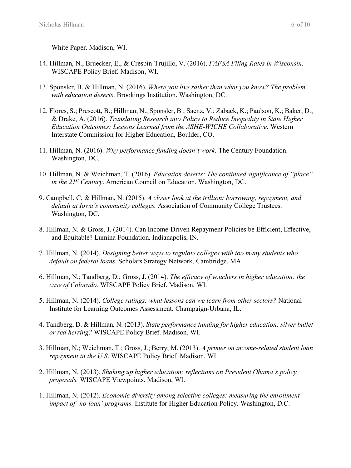White Paper. Madison, WI.

- 14. Hillman, N., Bruecker, E., & Crespin-Trujillo, V. (2016). *FAFSA Filing Rates in Wisconsin*. WISCAPE Policy Brief. Madison, WI.
- 13. Sponsler, B. & Hillman, N. (2016). *Where you live rather than what you know? The problem with education deserts*. Brookings Institution. Washington, DC.
- 12. Flores, S.; Prescott, B.; Hillman, N.; Sponsler, B.; Saenz, V.; Zaback, K.; Paulson, K.; Baker, D.; & Drake, A. (2016). *Translating Research into Policy to Reduce Inequality in State Higher Education Outcomes: Lessons Learned from the ASHE-WICHE Collaborative*. Western Interstate Commission for Higher Education, Boulder, CO.
- 11. Hillman, N. (2016). *Why performance funding doesn't work*. The Century Foundation. Washington, DC.
- 10. Hillman, N. & Weichman, T. (2016). *Education deserts: The continued significance of "place" in the 21st Century*. American Council on Education. Washington, DC.
- 9. Campbell, C. & Hillman, N. (2015). *A closer look at the trillion: borrowing, repayment, and default at Iowa's community colleges.* Association of Community College Trustees. Washington, DC.
- 8. Hillman, N. & Gross, J. (2014). Can Income-Driven Repayment Policies be Efficient, Effective, and Equitable? Lumina Foundation. Indianapolis, IN.
- 7. Hillman, N. (2014). *Designing better ways to regulate colleges with too many students who default on federal loans*. Scholars Strategy Network, Cambridge, MA.
- 6. Hillman, N.; Tandberg, D.; Gross, J. (2014). *The efficacy of vouchers in higher education: the case of Colorado.* WISCAPE Policy Brief. Madison, WI.
- 5. Hillman, N. (2014). *College ratings: what lessons can we learn from other sectors?* National Institute for Learning Outcomes Assessment. Champaign-Urbana, IL.
- 4. Tandberg, D. & Hillman, N. (2013). *State performance funding for higher education: silver bullet or red herring?* WISCAPE Policy Brief. Madison, WI.
- 3. Hillman, N.; Weichman, T.; Gross, J.; Berry, M. (2013). *A primer on income-related student loan repayment in the U.S*. WISCAPE Policy Brief. Madison, WI.
- 2. Hillman, N. (2013). *Shaking up higher education: reflections on President Obama's policy proposals.* WISCAPE Viewpoints. Madison, WI.
- 1. Hillman, N. (2012). *Economic diversity among selective colleges: measuring the enrollment impact of 'no-loan' programs*. Institute for Higher Education Policy. Washington, D.C.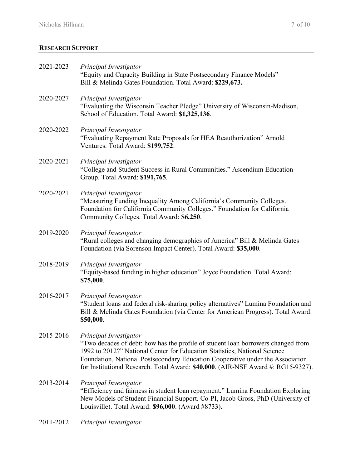## **RESEARCH SUPPORT**

| 2021-2023 | Principal Investigator<br>"Equity and Capacity Building in State Postsecondary Finance Models"<br>Bill & Melinda Gates Foundation. Total Award: \$229,673.                                                                                                                                                                                                    |
|-----------|---------------------------------------------------------------------------------------------------------------------------------------------------------------------------------------------------------------------------------------------------------------------------------------------------------------------------------------------------------------|
| 2020-2027 | Principal Investigator<br>"Evaluating the Wisconsin Teacher Pledge" University of Wisconsin-Madison,<br>School of Education. Total Award: \$1,325,136.                                                                                                                                                                                                        |
| 2020-2022 | Principal Investigator<br>"Evaluating Repayment Rate Proposals for HEA Reauthorization" Arnold<br>Ventures. Total Award: \$199,752.                                                                                                                                                                                                                           |
| 2020-2021 | Principal Investigator<br>"College and Student Success in Rural Communities." Ascendium Education<br>Group. Total Award: \$191,765.                                                                                                                                                                                                                           |
| 2020-2021 | Principal Investigator<br>"Measuring Funding Inequality Among California's Community Colleges.<br>Foundation for California Community Colleges." Foundation for California<br>Community Colleges. Total Award: \$6,250.                                                                                                                                       |
| 2019-2020 | Principal Investigator<br>"Rural colleges and changing demographics of America" Bill & Melinda Gates<br>Foundation (via Sorenson Impact Center). Total Award: \$35,000.                                                                                                                                                                                       |
| 2018-2019 | Principal Investigator<br>"Equity-based funding in higher education" Joyce Foundation. Total Award:<br>\$75,000.                                                                                                                                                                                                                                              |
| 2016-2017 | Principal Investigator<br>"Student loans and federal risk-sharing policy alternatives" Lumina Foundation and<br>Bill & Melinda Gates Foundation (via Center for American Progress). Total Award:<br>\$50,000.                                                                                                                                                 |
| 2015-2016 | Principal Investigator<br>"Two decades of debt: how has the profile of student loan borrowers changed from<br>1992 to 2012?" National Center for Education Statistics, National Science<br>Foundation, National Postsecondary Education Cooperative under the Association<br>for Institutional Research. Total Award: \$40,000. (AIR-NSF Award #: RG15-9327). |
| 2013-2014 | Principal Investigator<br>"Efficiency and fairness in student loan repayment." Lumina Foundation Exploring<br>New Models of Student Financial Support. Co-PI, Jacob Gross, PhD (University of<br>Louisville). Total Award: \$96,000. (Award #8733).                                                                                                           |
| 2011-2012 | Principal Investigator                                                                                                                                                                                                                                                                                                                                        |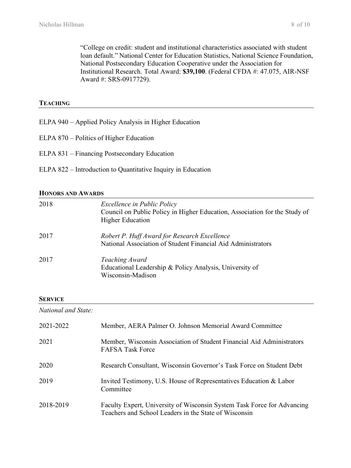"College on credit: student and institutional characteristics associated with student loan default." National Center for Education Statistics, National Science Foundation, National Postsecondary Education Cooperative under the Association for Institutional Research. Total Award: **\$39,100**. (Federal CFDA #: 47.075, AIR-NSF Award #: SRS-0917729).

#### **TEACHING**

- ELPA 940 Applied Policy Analysis in Higher Education
- ELPA 870 Politics of Higher Education
- ELPA 831 Financing Postsecondary Education
- ELPA 822 Introduction to Quantitative Inquiry in Education

#### **HONORS AND AWARDS**

| 2018 | Excellence in Public Policy<br>Council on Public Policy in Higher Education, Association for the Study of<br><b>Higher Education</b> |
|------|--------------------------------------------------------------------------------------------------------------------------------------|
| 2017 | Robert P. Huff Award for Research Excellence<br>National Association of Student Financial Aid Administrators                         |
| 2017 | Teaching Award<br>Educational Leadership & Policy Analysis, University of<br>Wisconsin-Madison                                       |

#### **SERVICE**

*National and State:* 

| 2021-2022 | Member, AERA Palmer O. Johnson Memorial Award Committee                                                                          |
|-----------|----------------------------------------------------------------------------------------------------------------------------------|
| 2021      | Member, Wisconsin Association of Student Financial Aid Administrators<br><b>FAFSA Task Force</b>                                 |
| 2020      | Research Consultant, Wisconsin Governor's Task Force on Student Debt                                                             |
| 2019      | Invited Testimony, U.S. House of Representatives Education & Labor<br>Committee                                                  |
| 2018-2019 | Faculty Expert, University of Wisconsin System Task Force for Advancing<br>Teachers and School Leaders in the State of Wisconsin |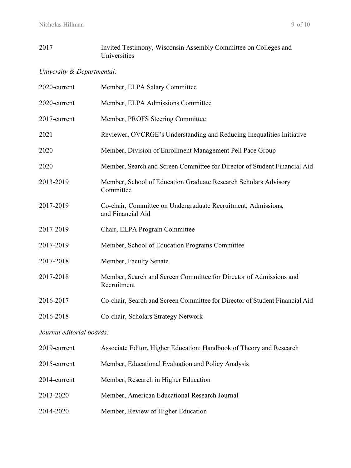## 2017 Invited Testimony, Wisconsin Assembly Committee on Colleges and Universities

## *University & Departmental:*

| 2020-current | Member, ELPA Salary Committee                                                      |
|--------------|------------------------------------------------------------------------------------|
| 2020-current | Member, ELPA Admissions Committee                                                  |
| 2017-current | Member, PROFS Steering Committee                                                   |
| 2021         | Reviewer, OVCRGE's Understanding and Reducing Inequalities Initiative              |
| 2020         | Member, Division of Enrollment Management Pell Pace Group                          |
| 2020         | Member, Search and Screen Committee for Director of Student Financial Aid          |
| 2013-2019    | Member, School of Education Graduate Research Scholars Advisory<br>Committee       |
| 2017-2019    | Co-chair, Committee on Undergraduate Recruitment, Admissions,<br>and Financial Aid |
| 2017-2019    | Chair, ELPA Program Committee                                                      |
| 2017-2019    | Member, School of Education Programs Committee                                     |
| 2017-2018    | Member, Faculty Senate                                                             |
| 2017-2018    | Member, Search and Screen Committee for Director of Admissions and<br>Recruitment  |
| 2016-2017    | Co-chair, Search and Screen Committee for Director of Student Financial Aid        |
| 2016-2018    | Co-chair, Scholars Strategy Network                                                |

# *Journal editorial boards:*

| 2019-current | Associate Editor, Higher Education: Handbook of Theory and Research |
|--------------|---------------------------------------------------------------------|
| 2015-current | Member, Educational Evaluation and Policy Analysis                  |
| 2014-current | Member, Research in Higher Education                                |
| 2013-2020    | Member, American Educational Research Journal                       |
| 2014-2020    | Member, Review of Higher Education                                  |